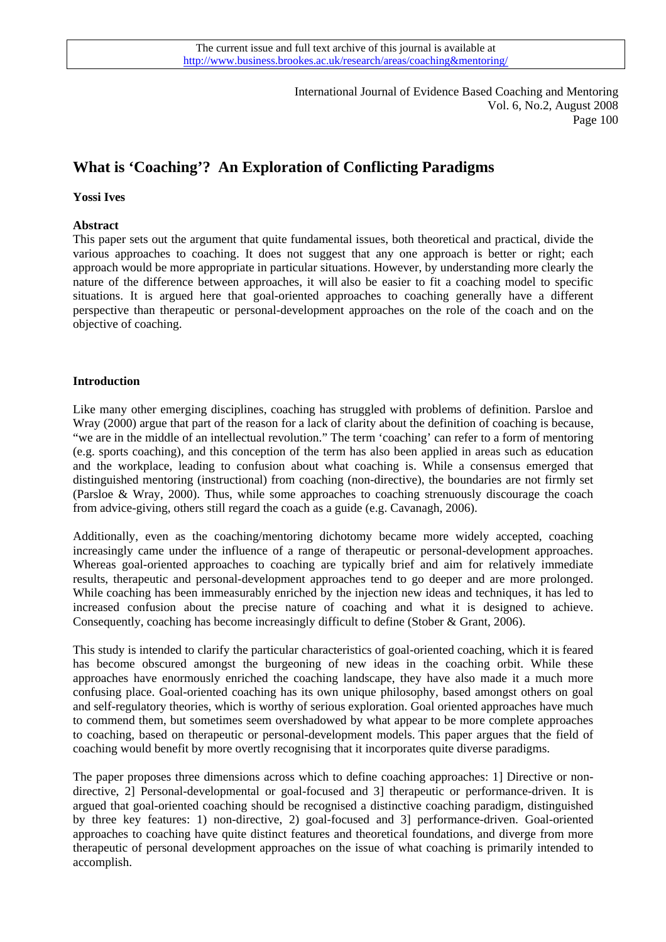International Journal of Evidence Based Coaching and Mentoring Vol. 6, No.2, August 2008 Page 100

# **What is 'Coaching'? An Exploration of Conflicting Paradigms**

#### **Yossi Ives**

## **Abstract**

This paper sets out the argument that quite fundamental issues, both theoretical and practical, divide the various approaches to coaching. It does not suggest that any one approach is better or right; each approach would be more appropriate in particular situations. However, by understanding more clearly the nature of the difference between approaches, it will also be easier to fit a coaching model to specific situations. It is argued here that goal-oriented approaches to coaching generally have a different perspective than therapeutic or personal-development approaches on the role of the coach and on the objective of coaching.

#### **Introduction**

Like many other emerging disciplines, coaching has struggled with problems of definition. Parsloe and Wray (2000) argue that part of the reason for a lack of clarity about the definition of coaching is because, "we are in the middle of an intellectual revolution." The term 'coaching' can refer to a form of mentoring (e.g. sports coaching), and this conception of the term has also been applied in areas such as education and the workplace, leading to confusion about what coaching is. While a consensus emerged that distinguished mentoring (instructional) from coaching (non-directive), the boundaries are not firmly set (Parsloe & Wray, 2000). Thus, while some approaches to coaching strenuously discourage the coach from advice-giving, others still regard the coach as a guide (e.g. Cavanagh, 2006).

Additionally, even as the coaching/mentoring dichotomy became more widely accepted, coaching increasingly came under the influence of a range of therapeutic or personal-development approaches. Whereas goal-oriented approaches to coaching are typically brief and aim for relatively immediate results, therapeutic and personal-development approaches tend to go deeper and are more prolonged. While coaching has been immeasurably enriched by the injection new ideas and techniques, it has led to increased confusion about the precise nature of coaching and what it is designed to achieve. Consequently, coaching has become increasingly difficult to define (Stober & Grant, 2006).

This study is intended to clarify the particular characteristics of goal-oriented coaching, which it is feared has become obscured amongst the burgeoning of new ideas in the coaching orbit. While these approaches have enormously enriched the coaching landscape, they have also made it a much more confusing place. Goal-oriented coaching has its own unique philosophy, based amongst others on goal and self-regulatory theories, which is worthy of serious exploration. Goal oriented approaches have much to commend them, but sometimes seem overshadowed by what appear to be more complete approaches to coaching, based on therapeutic or personal-development models. This paper argues that the field of coaching would benefit by more overtly recognising that it incorporates quite diverse paradigms.

The paper proposes three dimensions across which to define coaching approaches: 1] Directive or nondirective, 2] Personal-developmental or goal-focused and 3] therapeutic or performance-driven. It is argued that goal-oriented coaching should be recognised a distinctive coaching paradigm, distinguished by three key features: 1) non-directive, 2) goal-focused and 3] performance-driven. Goal-oriented approaches to coaching have quite distinct features and theoretical foundations, and diverge from more therapeutic of personal development approaches on the issue of what coaching is primarily intended to accomplish.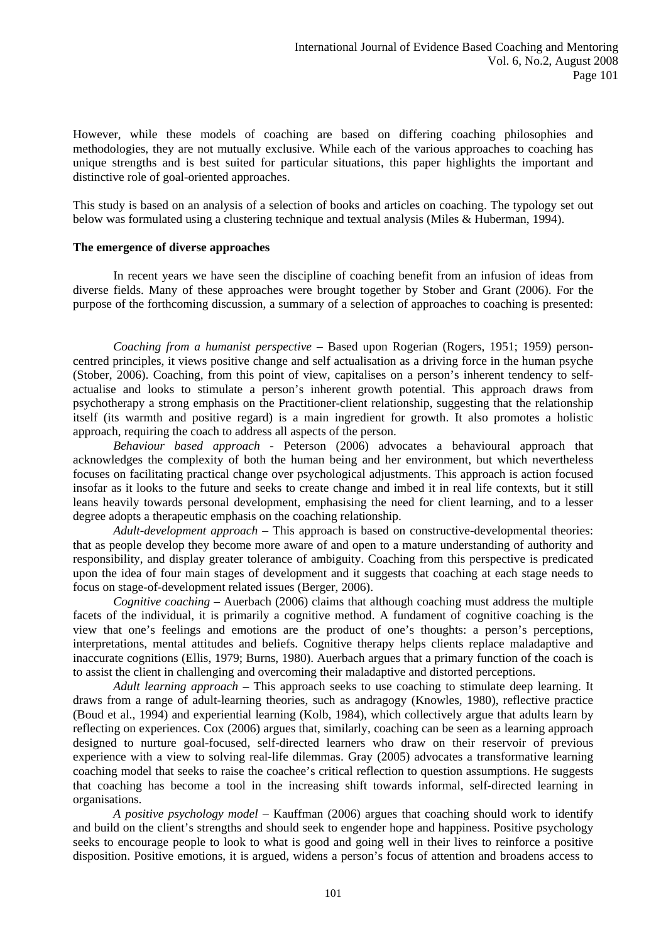However, while these models of coaching are based on differing coaching philosophies and methodologies, they are not mutually exclusive. While each of the various approaches to coaching has unique strengths and is best suited for particular situations, this paper highlights the important and distinctive role of goal-oriented approaches.

This study is based on an analysis of a selection of books and articles on coaching. The typology set out below was formulated using a clustering technique and textual analysis (Miles & Huberman, 1994).

#### **The emergence of diverse approaches**

In recent years we have seen the discipline of coaching benefit from an infusion of ideas from diverse fields. Many of these approaches were brought together by Stober and Grant (2006). For the purpose of the forthcoming discussion, a summary of a selection of approaches to coaching is presented:

*Coaching from a humanist perspective* – Based upon Rogerian (Rogers, 1951; 1959) personcentred principles, it views positive change and self actualisation as a driving force in the human psyche (Stober, 2006). Coaching, from this point of view, capitalises on a person's inherent tendency to selfactualise and looks to stimulate a person's inherent growth potential. This approach draws from psychotherapy a strong emphasis on the Practitioner-client relationship, suggesting that the relationship itself (its warmth and positive regard) is a main ingredient for growth. It also promotes a holistic approach, requiring the coach to address all aspects of the person.

*Behaviour based approach* - Peterson (2006) advocates a behavioural approach that acknowledges the complexity of both the human being and her environment, but which nevertheless focuses on facilitating practical change over psychological adjustments. This approach is action focused insofar as it looks to the future and seeks to create change and imbed it in real life contexts, but it still leans heavily towards personal development, emphasising the need for client learning, and to a lesser degree adopts a therapeutic emphasis on the coaching relationship.

*Adult-development approach* – This approach is based on constructive-developmental theories: that as people develop they become more aware of and open to a mature understanding of authority and responsibility, and display greater tolerance of ambiguity. Coaching from this perspective is predicated upon the idea of four main stages of development and it suggests that coaching at each stage needs to focus on stage-of-development related issues (Berger, 2006).

*Cognitive coaching* – Auerbach (2006) claims that although coaching must address the multiple facets of the individual, it is primarily a cognitive method. A fundament of cognitive coaching is the view that one's feelings and emotions are the product of one's thoughts: a person's perceptions, interpretations, mental attitudes and beliefs. Cognitive therapy helps clients replace maladaptive and inaccurate cognitions (Ellis, 1979; Burns, 1980). Auerbach argues that a primary function of the coach is to assist the client in challenging and overcoming their maladaptive and distorted perceptions.

*Adult learning approach* – This approach seeks to use coaching to stimulate deep learning. It draws from a range of adult-learning theories, such as andragogy (Knowles, 1980), reflective practice (Boud et al., 1994) and experiential learning (Kolb, 1984), which collectively argue that adults learn by reflecting on experiences. Cox (2006) argues that, similarly, coaching can be seen as a learning approach designed to nurture goal-focused, self-directed learners who draw on their reservoir of previous experience with a view to solving real-life dilemmas. Gray (2005) advocates a transformative learning coaching model that seeks to raise the coachee's critical reflection to question assumptions. He suggests that coaching has become a tool in the increasing shift towards informal, self-directed learning in organisations.

*A positive psychology model* – Kauffman (2006) argues that coaching should work to identify and build on the client's strengths and should seek to engender hope and happiness. Positive psychology seeks to encourage people to look to what is good and going well in their lives to reinforce a positive disposition. Positive emotions, it is argued, widens a person's focus of attention and broadens access to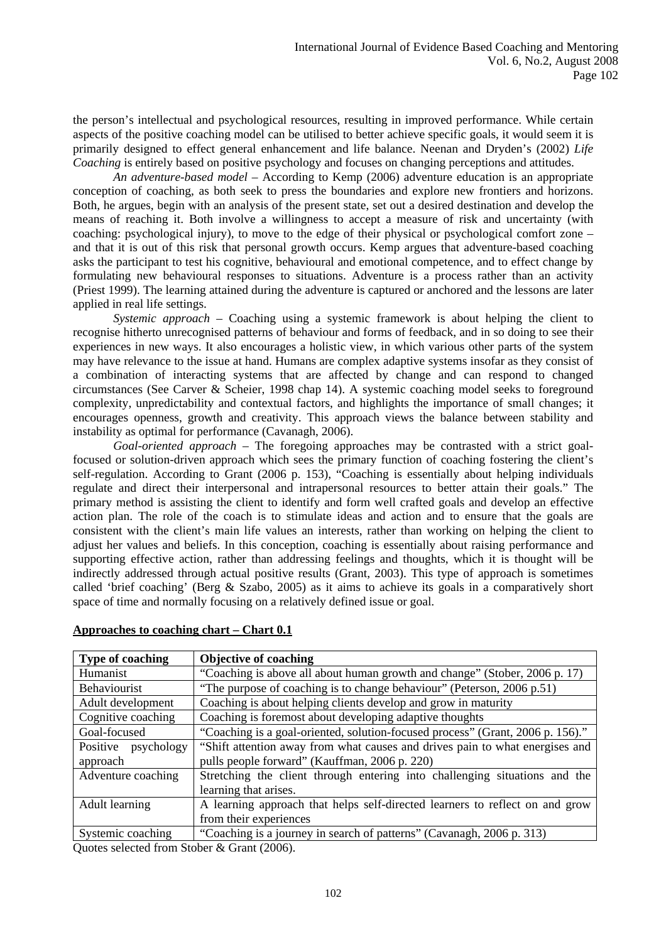the person's intellectual and psychological resources, resulting in improved performance. While certain aspects of the positive coaching model can be utilised to better achieve specific goals, it would seem it is primarily designed to effect general enhancement and life balance. Neenan and Dryden's (2002) *Life Coaching* is entirely based on positive psychology and focuses on changing perceptions and attitudes.

*An adventure-based model* – According to Kemp (2006) adventure education is an appropriate conception of coaching, as both seek to press the boundaries and explore new frontiers and horizons. Both, he argues, begin with an analysis of the present state, set out a desired destination and develop the means of reaching it. Both involve a willingness to accept a measure of risk and uncertainty (with coaching: psychological injury), to move to the edge of their physical or psychological comfort zone – and that it is out of this risk that personal growth occurs. Kemp argues that adventure-based coaching asks the participant to test his cognitive, behavioural and emotional competence, and to effect change by formulating new behavioural responses to situations. Adventure is a process rather than an activity (Priest 1999). The learning attained during the adventure is captured or anchored and the lessons are later applied in real life settings.

*Systemic approach* – Coaching using a systemic framework is about helping the client to recognise hitherto unrecognised patterns of behaviour and forms of feedback, and in so doing to see their experiences in new ways. It also encourages a holistic view, in which various other parts of the system may have relevance to the issue at hand. Humans are complex adaptive systems insofar as they consist of a combination of interacting systems that are affected by change and can respond to changed circumstances (See Carver & Scheier, 1998 chap 14). A systemic coaching model seeks to foreground complexity, unpredictability and contextual factors, and highlights the importance of small changes; it encourages openness, growth and creativity. This approach views the balance between stability and instability as optimal for performance (Cavanagh, 2006).

*Goal-oriented approach* – The foregoing approaches may be contrasted with a strict goalfocused or solution-driven approach which sees the primary function of coaching fostering the client's self-regulation. According to Grant (2006 p. 153), "Coaching is essentially about helping individuals regulate and direct their interpersonal and intrapersonal resources to better attain their goals." The primary method is assisting the client to identify and form well crafted goals and develop an effective action plan. The role of the coach is to stimulate ideas and action and to ensure that the goals are consistent with the client's main life values an interests, rather than working on helping the client to adjust her values and beliefs. In this conception, coaching is essentially about raising performance and supporting effective action, rather than addressing feelings and thoughts, which it is thought will be indirectly addressed through actual positive results (Grant, 2003). This type of approach is sometimes called 'brief coaching' (Berg & Szabo, 2005) as it aims to achieve its goals in a comparatively short space of time and normally focusing on a relatively defined issue or goal.

| <b>Type of coaching</b>                                                             | <b>Objective of coaching</b>                                                   |  |  |
|-------------------------------------------------------------------------------------|--------------------------------------------------------------------------------|--|--|
| Humanist                                                                            | "Coaching is above all about human growth and change" (Stober, 2006 p. 17)     |  |  |
| Behaviourist                                                                        | "The purpose of coaching is to change behaviour" (Peterson, 2006 p.51)         |  |  |
| Coaching is about helping clients develop and grow in maturity<br>Adult development |                                                                                |  |  |
| Coaching is foremost about developing adaptive thoughts<br>Cognitive coaching       |                                                                                |  |  |
| Goal-focused                                                                        | "Coaching is a goal-oriented, solution-focused process" (Grant, 2006 p. 156)." |  |  |
| Positive psychology                                                                 | "Shift attention away from what causes and drives pain to what energises and   |  |  |
| approach                                                                            | pulls people forward" (Kauffman, 2006 p. 220)                                  |  |  |
| Adventure coaching                                                                  | Stretching the client through entering into challenging situations and the     |  |  |
|                                                                                     | learning that arises.                                                          |  |  |
| Adult learning                                                                      | A learning approach that helps self-directed learners to reflect on and grow   |  |  |
|                                                                                     | from their experiences                                                         |  |  |
| Systemic coaching                                                                   | "Coaching is a journey in search of patterns" (Cavanagh, 2006 p. 313)          |  |  |

## **Approaches to coaching chart – Chart 0.1**

Quotes selected from Stober & Grant (2006).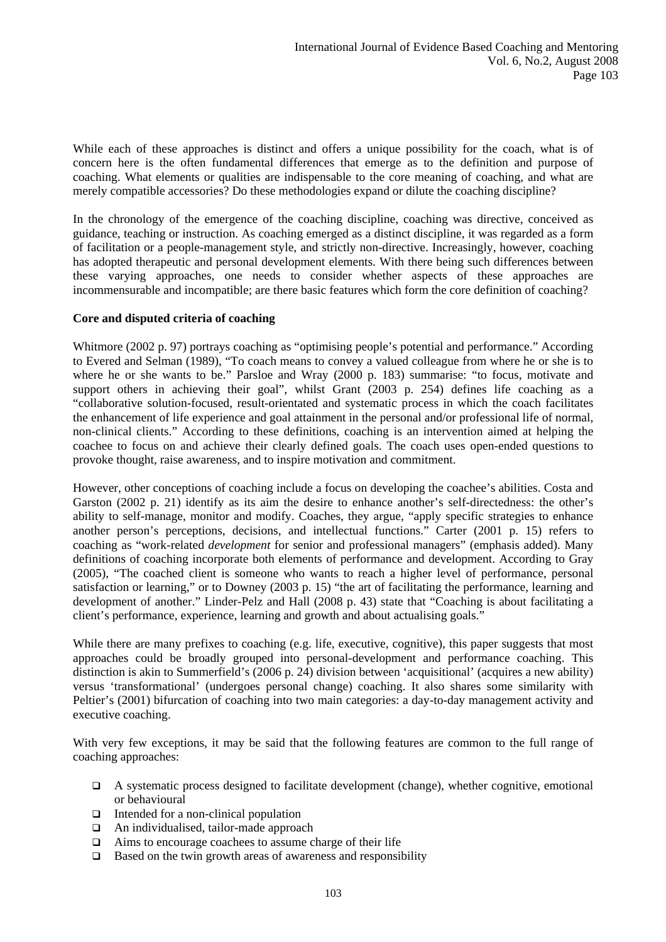While each of these approaches is distinct and offers a unique possibility for the coach, what is of concern here is the often fundamental differences that emerge as to the definition and purpose of coaching. What elements or qualities are indispensable to the core meaning of coaching, and what are merely compatible accessories? Do these methodologies expand or dilute the coaching discipline?

In the chronology of the emergence of the coaching discipline, coaching was directive, conceived as guidance, teaching or instruction. As coaching emerged as a distinct discipline, it was regarded as a form of facilitation or a people-management style, and strictly non-directive. Increasingly, however, coaching has adopted therapeutic and personal development elements. With there being such differences between these varying approaches, one needs to consider whether aspects of these approaches are incommensurable and incompatible; are there basic features which form the core definition of coaching?

## **Core and disputed criteria of coaching**

Whitmore (2002 p. 97) portrays coaching as "optimising people's potential and performance." According to Evered and Selman (1989), "To coach means to convey a valued colleague from where he or she is to where he or she wants to be." Parsloe and Wray (2000 p. 183) summarise: "to focus, motivate and support others in achieving their goal", whilst Grant (2003 p. 254) defines life coaching as a "collaborative solution-focused, result-orientated and systematic process in which the coach facilitates the enhancement of life experience and goal attainment in the personal and/or professional life of normal, non-clinical clients." According to these definitions, coaching is an intervention aimed at helping the coachee to focus on and achieve their clearly defined goals. The coach uses open-ended questions to provoke thought, raise awareness, and to inspire motivation and commitment.

However, other conceptions of coaching include a focus on developing the coachee's abilities. Costa and Garston (2002 p. 21) identify as its aim the desire to enhance another's self-directedness: the other's ability to self-manage, monitor and modify. Coaches, they argue, "apply specific strategies to enhance another person's perceptions, decisions, and intellectual functions." Carter (2001 p. 15) refers to coaching as "work-related *development* for senior and professional managers" (emphasis added). Many definitions of coaching incorporate both elements of performance and development. According to Gray (2005), "The coached client is someone who wants to reach a higher level of performance, personal satisfaction or learning," or to Downey (2003 p. 15) "the art of facilitating the performance, learning and development of another." Linder-Pelz and Hall (2008 p. 43) state that "Coaching is about facilitating a client's performance, experience, learning and growth and about actualising goals."

While there are many prefixes to coaching (e.g. life, executive, cognitive), this paper suggests that most approaches could be broadly grouped into personal-development and performance coaching. This distinction is akin to Summerfield's (2006 p. 24) division between 'acquisitional' (acquires a new ability) versus 'transformational' (undergoes personal change) coaching. It also shares some similarity with Peltier's (2001) bifurcation of coaching into two main categories: a day-to-day management activity and executive coaching.

With very few exceptions, it may be said that the following features are common to the full range of coaching approaches:

- $\Box$  A systematic process designed to facilitate development (change), whether cognitive, emotional or behavioural
- $\Box$  Intended for a non-clinical population
- An individualised, tailor-made approach
- $\Box$  Aims to encourage coachees to assume charge of their life
- $\Box$  Based on the twin growth areas of awareness and responsibility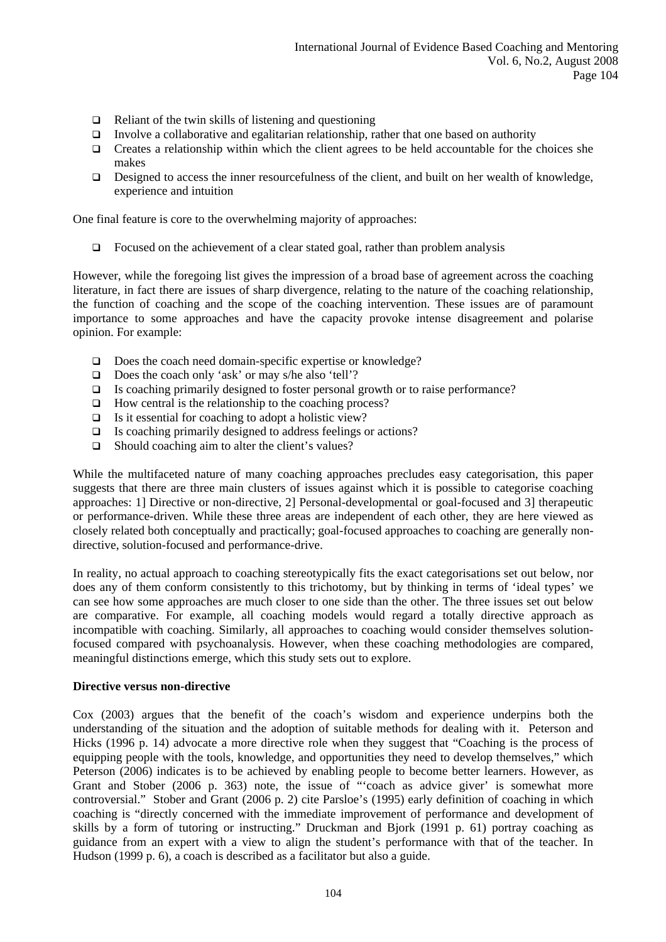- $\Box$  Reliant of the twin skills of listening and questioning
- Involve a collaborative and egalitarian relationship, rather that one based on authority
- $\Box$  Creates a relationship within which the client agrees to be held accountable for the choices she makes
- Designed to access the inner resourcefulness of the client, and built on her wealth of knowledge, experience and intuition

One final feature is core to the overwhelming majority of approaches:

 $\Box$  Focused on the achievement of a clear stated goal, rather than problem analysis

However, while the foregoing list gives the impression of a broad base of agreement across the coaching literature, in fact there are issues of sharp divergence, relating to the nature of the coaching relationship, the function of coaching and the scope of the coaching intervention. These issues are of paramount importance to some approaches and have the capacity provoke intense disagreement and polarise opinion. For example:

- □ Does the coach need domain-specific expertise or knowledge?
- $\Box$  Does the coach only 'ask' or may s/he also 'tell'?
- $\Box$  Is coaching primarily designed to foster personal growth or to raise performance?
- $\Box$  How central is the relationship to the coaching process?
- $\Box$  Is it essential for coaching to adopt a holistic view?
- $\Box$  Is coaching primarily designed to address feelings or actions?
- $\Box$  Should coaching aim to alter the client's values?

While the multifaceted nature of many coaching approaches precludes easy categorisation, this paper suggests that there are three main clusters of issues against which it is possible to categorise coaching approaches: 1] Directive or non-directive, 2] Personal-developmental or goal-focused and 3] therapeutic or performance-driven. While these three areas are independent of each other, they are here viewed as closely related both conceptually and practically; goal-focused approaches to coaching are generally nondirective, solution-focused and performance-drive.

In reality, no actual approach to coaching stereotypically fits the exact categorisations set out below, nor does any of them conform consistently to this trichotomy, but by thinking in terms of 'ideal types' we can see how some approaches are much closer to one side than the other. The three issues set out below are comparative. For example, all coaching models would regard a totally directive approach as incompatible with coaching. Similarly, all approaches to coaching would consider themselves solutionfocused compared with psychoanalysis. However, when these coaching methodologies are compared, meaningful distinctions emerge, which this study sets out to explore.

#### **Directive versus non-directive**

Cox (2003) argues that the benefit of the coach's wisdom and experience underpins both the understanding of the situation and the adoption of suitable methods for dealing with it. Peterson and Hicks (1996 p. 14) advocate a more directive role when they suggest that "Coaching is the process of equipping people with the tools, knowledge, and opportunities they need to develop themselves," which Peterson (2006) indicates is to be achieved by enabling people to become better learners. However, as Grant and Stober (2006 p. 363) note, the issue of "'coach as advice giver' is somewhat more controversial." Stober and Grant (2006 p. 2) cite Parsloe's (1995) early definition of coaching in which coaching is "directly concerned with the immediate improvement of performance and development of skills by a form of tutoring or instructing." Druckman and Bjork (1991 p. 61) portray coaching as guidance from an expert with a view to align the student's performance with that of the teacher. In Hudson (1999 p. 6), a coach is described as a facilitator but also a guide.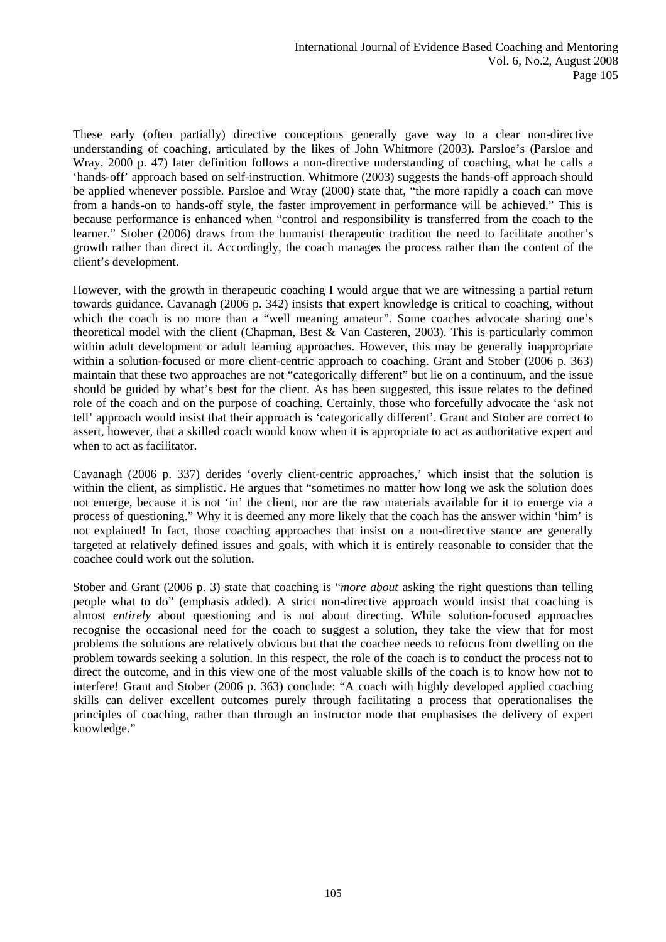These early (often partially) directive conceptions generally gave way to a clear non-directive understanding of coaching, articulated by the likes of John Whitmore (2003). Parsloe's (Parsloe and Wray, 2000 p. 47) later definition follows a non-directive understanding of coaching, what he calls a 'hands-off' approach based on self-instruction. Whitmore (2003) suggests the hands-off approach should be applied whenever possible. Parsloe and Wray (2000) state that, "the more rapidly a coach can move from a hands-on to hands-off style, the faster improvement in performance will be achieved." This is because performance is enhanced when "control and responsibility is transferred from the coach to the learner." Stober (2006) draws from the humanist therapeutic tradition the need to facilitate another's growth rather than direct it. Accordingly, the coach manages the process rather than the content of the client's development.

However, with the growth in therapeutic coaching I would argue that we are witnessing a partial return towards guidance. Cavanagh (2006 p. 342) insists that expert knowledge is critical to coaching, without which the coach is no more than a "well meaning amateur". Some coaches advocate sharing one's theoretical model with the client (Chapman, Best  $\&$  Van Casteren, 2003). This is particularly common within adult development or adult learning approaches. However, this may be generally inappropriate within a solution-focused or more client-centric approach to coaching. Grant and Stober (2006 p. 363) maintain that these two approaches are not "categorically different" but lie on a continuum, and the issue should be guided by what's best for the client. As has been suggested, this issue relates to the defined role of the coach and on the purpose of coaching. Certainly, those who forcefully advocate the 'ask not tell' approach would insist that their approach is 'categorically different'. Grant and Stober are correct to assert, however, that a skilled coach would know when it is appropriate to act as authoritative expert and when to act as facilitator.

Cavanagh (2006 p. 337) derides 'overly client-centric approaches,' which insist that the solution is within the client, as simplistic. He argues that "sometimes no matter how long we ask the solution does not emerge, because it is not 'in' the client, nor are the raw materials available for it to emerge via a process of questioning." Why it is deemed any more likely that the coach has the answer within 'him' is not explained! In fact, those coaching approaches that insist on a non-directive stance are generally targeted at relatively defined issues and goals, with which it is entirely reasonable to consider that the coachee could work out the solution.

Stober and Grant (2006 p. 3) state that coaching is "*more about* asking the right questions than telling people what to do" (emphasis added). A strict non-directive approach would insist that coaching is almost *entirely* about questioning and is not about directing. While solution-focused approaches recognise the occasional need for the coach to suggest a solution, they take the view that for most problems the solutions are relatively obvious but that the coachee needs to refocus from dwelling on the problem towards seeking a solution. In this respect, the role of the coach is to conduct the process not to direct the outcome, and in this view one of the most valuable skills of the coach is to know how not to interfere! Grant and Stober (2006 p. 363) conclude: "A coach with highly developed applied coaching skills can deliver excellent outcomes purely through facilitating a process that operationalises the principles of coaching, rather than through an instructor mode that emphasises the delivery of expert knowledge."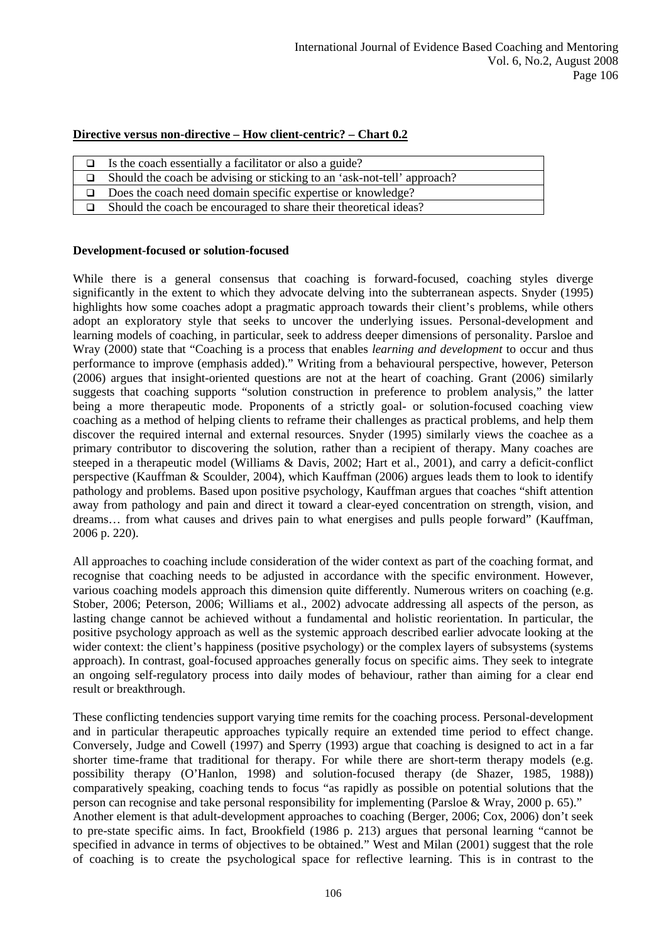# **Directive versus non-directive – How client-centric? – Chart 0.2**

| Is the coach essentially a facilitator or also a guide?                 |
|-------------------------------------------------------------------------|
| Should the coach be advising or sticking to an 'ask-not-tell' approach? |
| $\Box$ Does the coach need domain specific expertise or knowledge?      |
| Should the coach be encouraged to share their theoretical ideas?        |

#### **Development-focused or solution-focused**

While there is a general consensus that coaching is forward-focused, coaching styles diverge significantly in the extent to which they advocate delving into the subterranean aspects. Snyder (1995) highlights how some coaches adopt a pragmatic approach towards their client's problems, while others adopt an exploratory style that seeks to uncover the underlying issues. Personal-development and learning models of coaching, in particular, seek to address deeper dimensions of personality. Parsloe and Wray (2000) state that "Coaching is a process that enables *learning and development* to occur and thus performance to improve (emphasis added)." Writing from a behavioural perspective, however, Peterson (2006) argues that insight-oriented questions are not at the heart of coaching. Grant (2006) similarly suggests that coaching supports "solution construction in preference to problem analysis," the latter being a more therapeutic mode. Proponents of a strictly goal- or solution-focused coaching view coaching as a method of helping clients to reframe their challenges as practical problems, and help them discover the required internal and external resources. Snyder (1995) similarly views the coachee as a primary contributor to discovering the solution, rather than a recipient of therapy. Many coaches are steeped in a therapeutic model (Williams & Davis, 2002; Hart et al., 2001), and carry a deficit-conflict perspective (Kauffman & Scoulder, 2004), which Kauffman (2006) argues leads them to look to identify pathology and problems. Based upon positive psychology, Kauffman argues that coaches "shift attention away from pathology and pain and direct it toward a clear-eyed concentration on strength, vision, and dreams… from what causes and drives pain to what energises and pulls people forward" (Kauffman, 2006 p. 220).

All approaches to coaching include consideration of the wider context as part of the coaching format, and recognise that coaching needs to be adjusted in accordance with the specific environment. However, various coaching models approach this dimension quite differently. Numerous writers on coaching (e.g. Stober, 2006; Peterson, 2006; Williams et al., 2002) advocate addressing all aspects of the person, as lasting change cannot be achieved without a fundamental and holistic reorientation. In particular, the positive psychology approach as well as the systemic approach described earlier advocate looking at the wider context: the client's happiness (positive psychology) or the complex layers of subsystems (systems approach). In contrast, goal-focused approaches generally focus on specific aims. They seek to integrate an ongoing self-regulatory process into daily modes of behaviour, rather than aiming for a clear end result or breakthrough.

These conflicting tendencies support varying time remits for the coaching process. Personal-development and in particular therapeutic approaches typically require an extended time period to effect change. Conversely, Judge and Cowell (1997) and Sperry (1993) argue that coaching is designed to act in a far shorter time-frame that traditional for therapy. For while there are short-term therapy models (e.g. possibility therapy (O'Hanlon, 1998) and solution-focused therapy (de Shazer, 1985, 1988)) comparatively speaking, coaching tends to focus "as rapidly as possible on potential solutions that the person can recognise and take personal responsibility for implementing (Parsloe & Wray, 2000 p. 65)." Another element is that adult-development approaches to coaching (Berger, 2006; Cox, 2006) don't seek to pre-state specific aims. In fact, Brookfield (1986 p. 213) argues that personal learning "cannot be specified in advance in terms of objectives to be obtained." West and Milan (2001) suggest that the role of coaching is to create the psychological space for reflective learning. This is in contrast to the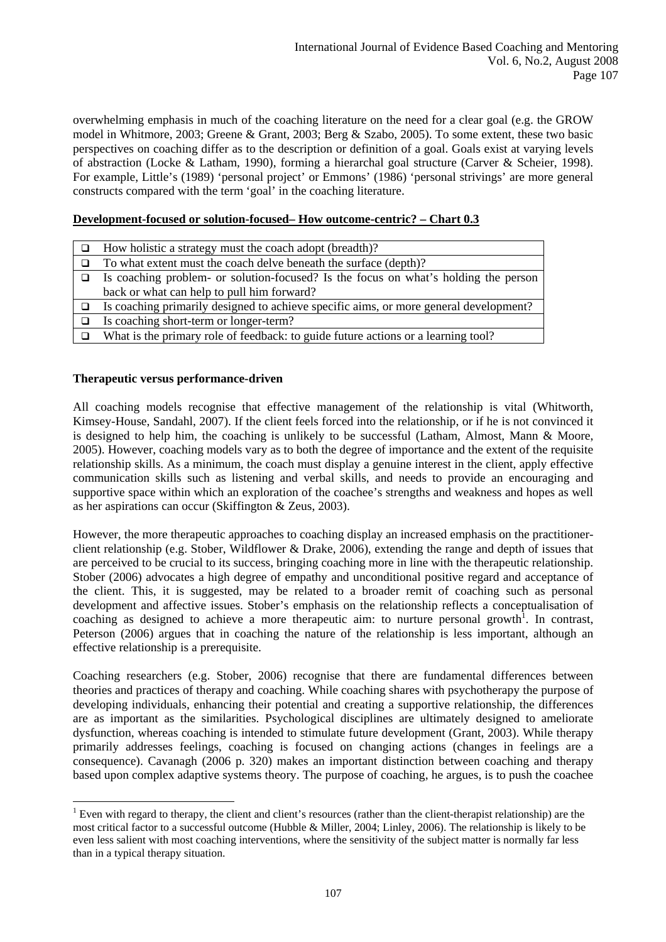overwhelming emphasis in much of the coaching literature on the need for a clear goal (e.g. the GROW model in Whitmore, 2003; Greene & Grant, 2003; Berg & Szabo, 2005). To some extent, these two basic perspectives on coaching differ as to the description or definition of a goal. Goals exist at varying levels of abstraction (Locke & Latham, 1990), forming a hierarchal goal structure (Carver & Scheier, 1998). For example, Little's (1989) 'personal project' or Emmons' (1986) 'personal strivings' are more general constructs compared with the term 'goal' in the coaching literature.

## **Development-focused or solution-focused– How outcome-centric? – Chart 0.3**

| How holistic a strategy must the coach adopt (breadth)?                               |
|---------------------------------------------------------------------------------------|
| To what extent must the coach delve beneath the surface (depth)?                      |
| Is coaching problem- or solution-focused? Is the focus on what's holding the person   |
| back or what can help to pull him forward?                                            |
| Is coaching primarily designed to achieve specific aims, or more general development? |
| Is coaching short-term or longer-term?                                                |
| What is the primary role of feedback: to guide future actions or a learning tool?     |

## **Therapeutic versus performance-driven**

All coaching models recognise that effective management of the relationship is vital ([Whitworth](http://www.amazon.co.uk/exec/obidos/search-handle-url/203-6995546-1992763?%5Fencoding=UTF8&search-type=ss&index=books-uk&field-author=Laura%20Whitworth), [Kimsey-House](http://www.amazon.co.uk/exec/obidos/search-handle-url/203-6995546-1992763?%5Fencoding=UTF8&search-type=ss&index=books-uk&field-author=Henry%20Kimsey-House), [Sandahl](http://www.amazon.co.uk/exec/obidos/search-handle-url/203-6995546-1992763?%5Fencoding=UTF8&search-type=ss&index=books-uk&field-author=Phil%20Sandahl), 2007). If the client feels forced into the relationship, or if he is not convinced it is designed to help him, the coaching is unlikely to be successful (Latham, Almost, Mann & Moore, 2005). However, coaching models vary as to both the degree of importance and the extent of the requisite relationship skills. As a minimum, the coach must display a genuine interest in the client, apply effective communication skills such as listening and verbal skills, and needs to provide an encouraging and supportive space within which an exploration of the coachee's strengths and weakness and hopes as well as her aspirations can occur (Skiffington & Zeus, 2003).

However, the more therapeutic approaches to coaching display an increased emphasis on the practitionerclient relationship (e.g. Stober, Wildflower & Drake, 2006), extending the range and depth of issues that are perceived to be crucial to its success, bringing coaching more in line with the therapeutic relationship. Stober (2006) advocates a high degree of empathy and unconditional positive regard and acceptance of the client. This, it is suggested, may be related to a broader remit of coaching such as personal development and affective issues. Stober's emphasis on the relationship reflects a conceptualisation of coaching as designed to achieve a more therapeutic aim: to nurture personal growth<sup>[1](#page-7-0)</sup>. In contrast, Peterson (2006) argues that in coaching the nature of the relationship is less important, although an effective relationship is a prerequisite.

Coaching researchers (e.g. Stober, 2006) recognise that there are fundamental differences between theories and practices of therapy and coaching. While coaching shares with psychotherapy the purpose of developing individuals, enhancing their potential and creating a supportive relationship, the differences are as important as the similarities. Psychological disciplines are ultimately designed to ameliorate dysfunction, whereas coaching is intended to stimulate future development (Grant, 2003). While therapy primarily addresses feelings, coaching is focused on changing actions (changes in feelings are a consequence). Cavanagh (2006 p. 320) makes an important distinction between coaching and therapy based upon complex adaptive systems theory. The purpose of coaching, he argues, is to push the coachee

<span id="page-7-0"></span> $\overline{a}$  $<sup>1</sup>$  Even with regard to therapy, the client and client's resources (rather than the client-therapist relationship) are the</sup> most critical factor to a successful outcome (Hubble & Miller, 2004; Linley, 2006). The relationship is likely to be even less salient with most coaching interventions, where the sensitivity of the subject matter is normally far less than in a typical therapy situation.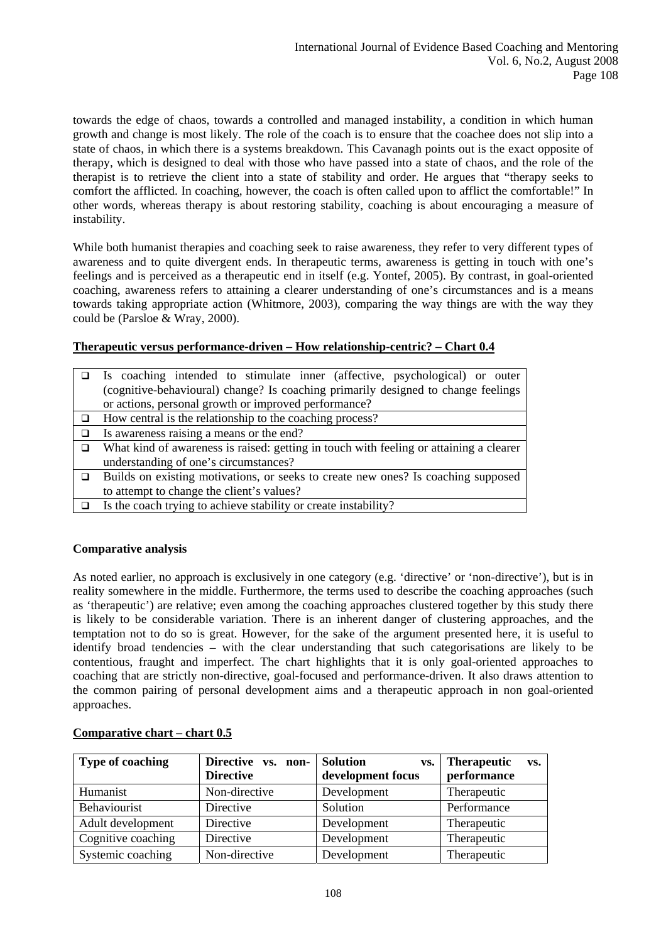towards the edge of chaos, towards a controlled and managed instability, a condition in which human growth and change is most likely. The role of the coach is to ensure that the coachee does not slip into a state of chaos, in which there is a systems breakdown. This Cavanagh points out is the exact opposite of therapy, which is designed to deal with those who have passed into a state of chaos, and the role of the therapist is to retrieve the client into a state of stability and order. He argues that "therapy seeks to comfort the afflicted. In coaching, however, the coach is often called upon to afflict the comfortable!" In other words, whereas therapy is about restoring stability, coaching is about encouraging a measure of instability.

While both humanist therapies and coaching seek to raise awareness, they refer to very different types of awareness and to quite divergent ends. In therapeutic terms, awareness is getting in touch with one's feelings and is perceived as a therapeutic end in itself (e.g. Yontef, 2005). By contrast, in goal-oriented coaching, awareness refers to attaining a clearer understanding of one's circumstances and is a means towards taking appropriate action (Whitmore, 2003), comparing the way things are with the way they could be (Parsloe & Wray, 2000).

## **Therapeutic versus performance-driven – How relationship-centric? – Chart 0.4**

| Is coaching intended to stimulate inner (affective, psychological) or outer            |  |  |  |  |
|----------------------------------------------------------------------------------------|--|--|--|--|
| (cognitive-behavioural) change? Is coaching primarily designed to change feelings      |  |  |  |  |
| or actions, personal growth or improved performance?                                   |  |  |  |  |
| How central is the relationship to the coaching process?                               |  |  |  |  |
| Is awareness raising a means or the end?                                               |  |  |  |  |
| What kind of awareness is raised: getting in touch with feeling or attaining a clearer |  |  |  |  |
| understanding of one's circumstances?                                                  |  |  |  |  |
| Builds on existing motivations, or seeks to create new ones? Is coaching supposed      |  |  |  |  |
| to attempt to change the client's values?                                              |  |  |  |  |
| Is the coach trying to achieve stability or create instability?                        |  |  |  |  |

# **Comparative analysis**

As noted earlier, no approach is exclusively in one category (e.g. 'directive' or 'non-directive'), but is in reality somewhere in the middle. Furthermore, the terms used to describe the coaching approaches (such as 'therapeutic') are relative; even among the coaching approaches clustered together by this study there is likely to be considerable variation. There is an inherent danger of clustering approaches, and the temptation not to do so is great. However, for the sake of the argument presented here, it is useful to identify broad tendencies – with the clear understanding that such categorisations are likely to be contentious, fraught and imperfect. The chart highlights that it is only goal-oriented approaches to coaching that are strictly non-directive, goal-focused and performance-driven. It also draws attention to the common pairing of personal development aims and a therapeutic approach in non goal-oriented approaches.

| <b>Type of coaching</b> | Directive vs. non-<br><b>Directive</b> | <b>Solution</b><br>VS.<br>development focus | <b>Therapeutic</b><br>VS.<br>performance |
|-------------------------|----------------------------------------|---------------------------------------------|------------------------------------------|
| Humanist                | Non-directive                          | Development                                 | Therapeutic                              |
| Behaviourist            | Directive                              | Solution                                    | Performance                              |
| Adult development       | Directive                              | Development                                 | Therapeutic                              |
| Cognitive coaching      | Directive                              | Development                                 | Therapeutic                              |
| Systemic coaching       | Non-directive                          | Development                                 | Therapeutic                              |

# **Comparative chart – chart 0.5**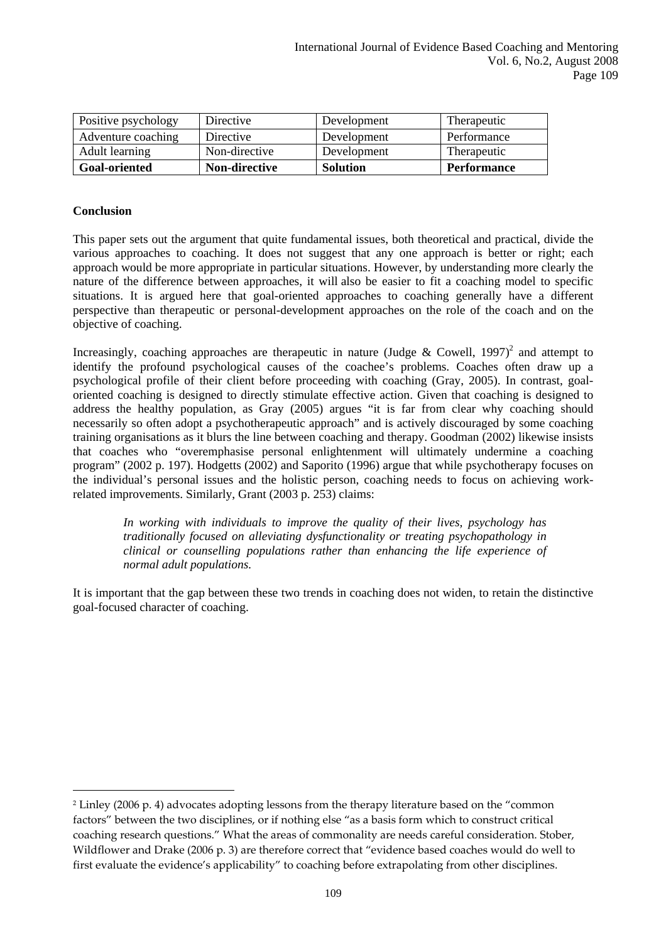| Positive psychology  | Directive     | Development     | <b>Therapeutic</b> |
|----------------------|---------------|-----------------|--------------------|
| Adventure coaching   | Directive     | Development     | Performance        |
| Adult learning       | Non-directive | Development     | Therapeutic        |
| <b>Goal-oriented</b> | Non-directive | <b>Solution</b> | <b>Performance</b> |

## **Conclusion**

 $\overline{a}$ 

This paper sets out the argument that quite fundamental issues, both theoretical and practical, divide the various approaches to coaching. It does not suggest that any one approach is better or right; each approach would be more appropriate in particular situations. However, by understanding more clearly the nature of the difference between approaches, it will also be easier to fit a coaching model to specific situations. It is argued here that goal-oriented approaches to coaching generally have a different perspective than therapeutic or personal-development approaches on the role of the coach and on the objective of coaching.

Increasingly, coaching approaches are therapeutic in nature (Judge & Cowell, 1997)<sup>2</sup> and attempt to identify the profound psychological causes of the coachee's problems. Coaches often draw up a psychological profile of their client before proceeding with coaching (Gray, 2005). In contrast, goaloriented coaching is designed to directly stimulate effective action. Given that coaching is designed to address the healthy population, as Gray (2005) argues "it is far from clear why coaching should necessarily so often adopt a psychotherapeutic approach" and is actively discouraged by some coaching training organisations as it blurs the line between coaching and therapy. Goodman (2002) likewise insists that coaches who "overemphasise personal enlightenment will ultimately undermine a coaching program" (2002 p. 197). Hodgetts (2002) and Saporito (1996) argue that while psychotherapy focuses on the individual's personal issues and the holistic person, coaching needs to focus on achieving workrelated improvements. Similarly, Grant (2003 p. 253) claims:

*In working with individuals to improve the quality of their lives, psychology has traditionally focused on alleviating dysfunctionality or treating psychopathology in clinical or counselling populations rather than enhancing the life experience of normal adult populations.* 

It is important that the gap between these two trends in coaching does not widen, to retain the distinctive goal-focused character of coaching.

<span id="page-9-0"></span><sup>2</sup> Linley (2006 p. 4) advocates adopting lessons from the therapy literature based on the "common factors" between the two disciplines, or if nothing else "as a basis form which to construct critical coaching research questions." What the areas of commonality are needs careful consideration. Stober, Wildflower and Drake (2006 p. 3) are therefore correct that "evidence based coaches would do well to first evaluate the evidence's applicability" to coaching before extrapolating from other disciplines.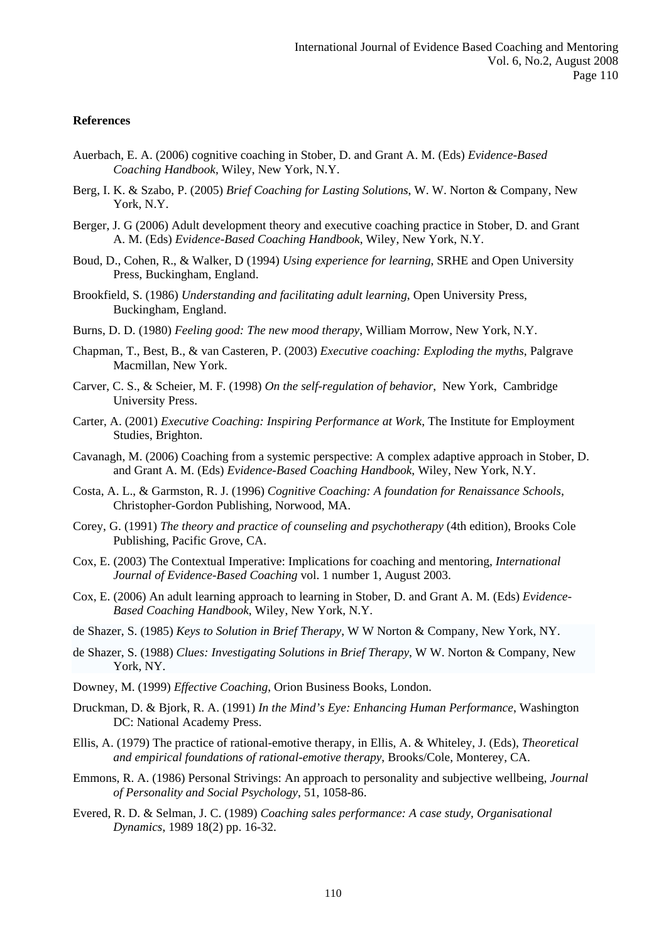#### **References**

- Auerbach, E. A. (2006) cognitive coaching in Stober, D. and Grant A. M. (Eds) *Evidence-Based Coaching Handbook*, Wiley, New York, N.Y.
- Berg, I. K. & Szabo, P. (2005) *Brief Coaching for Lasting Solutions*, W. W. Norton & Company, New York, N.Y.
- Berger, J. G (2006) Adult development theory and executive coaching practice in Stober, D. and Grant A. M. (Eds) *Evidence-Based Coaching Handbook*, Wiley, New York, N.Y.
- Boud, D., Cohen, R., & Walker, D (1994) *Using experience for learning*, SRHE and Open University Press, Buckingham, England.
- Brookfield, S. (1986) *Understanding and facilitating adult learning*, Open University Press, Buckingham, England.
- Burns, D. D. (1980) *Feeling good: The new mood therapy*, William Morrow, New York, N.Y.
- Chapman, T., Best, B., & van Casteren, P. (2003) *Executive coaching: Exploding the myths*, Palgrave Macmillan, New York.
- Carver, C. S., & Scheier, M. F. (1998) *On the self-regulation of behavior*, New York, Cambridge University Press.
- Carter, A. (2001) *Executive Coaching: Inspiring Performance at Work*, The Institute for Employment Studies, Brighton.
- Cavanagh, M. (2006) Coaching from a systemic perspective: A complex adaptive approach in Stober, D. and Grant A. M. (Eds) *Evidence-Based Coaching Handbook*, Wiley, New York, N.Y.
- Costa, A. L., & Garmston, R. J. (1996) *Cognitive Coaching: A foundation for Renaissance Schools*, Christopher-Gordon Publishing, Norwood, MA.
- Corey, G. (1991) *The theory and practice of counseling and psychotherapy* (4th edition), Brooks Cole Publishing, Pacific Grove, CA.
- Cox, E. (2003) The Contextual Imperative: Implications for coaching and mentoring, *International Journal of Evidence-Based Coaching* vol. 1 number 1, August 2003.
- Cox, E. (2006) An adult learning approach to learning in Stober, D. and Grant A. M. (Eds) *Evidence-Based Coaching Handbook*, Wiley, New York, N.Y.
- de Shazer, S. (1985) *Keys to Solution in Brief Therapy*, W W Norton & Company, New York, NY.
- de Shazer, S. (1988) *Clues: Investigating Solutions in Brief Therapy*, W W. Norton & Company, New York, NY.
- Downey, M. (1999) *Effective Coaching*, Orion Business Books, London.
- Druckman, D. & Bjork, R. A. (1991) *In the Mind's Eye: Enhancing Human Performance*, Washington DC: National Academy Press.
- Ellis, A. (1979) The practice of rational-emotive therapy, in Ellis, A. & Whiteley, J. (Eds), *Theoretical and empirical foundations of rational-emotive therapy*, Brooks/Cole, Monterey, CA.
- Emmons, R. A. (1986) Personal Strivings: An approach to personality and subjective wellbeing, *Journal of Personality and Social Psychology*, 51, 1058-86.
- Evered, R. D. & Selman, J. C. (1989) *Coaching sales performance: A case study, Organisational Dynamics*, 1989 18(2) pp. 16-32.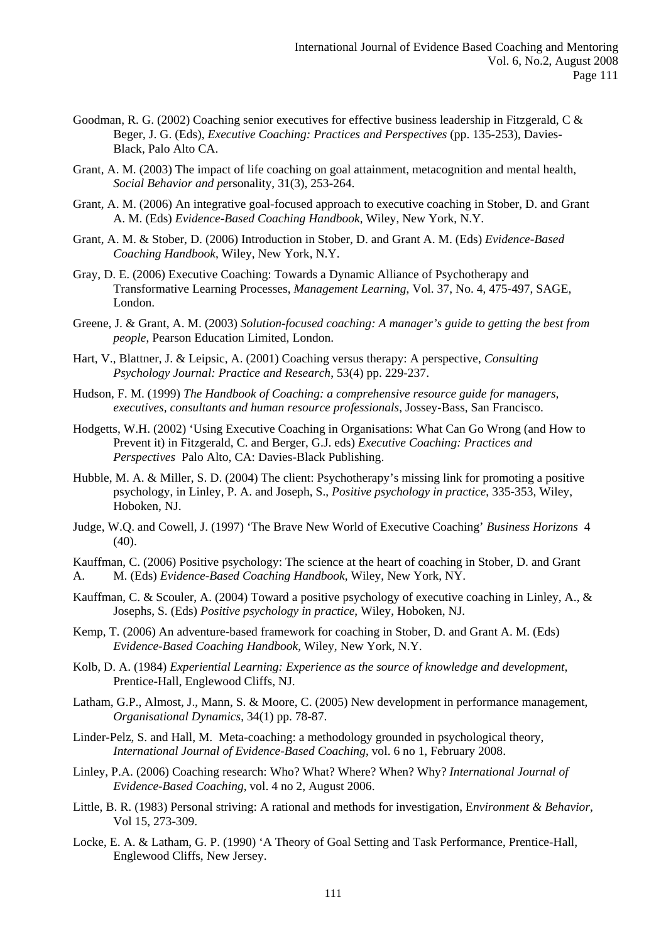- Goodman, R. G. (2002) Coaching senior executives for effective business leadership in Fitzgerald, C & Beger, J. G. (Eds), *Executive Coaching: Practices and Perspectives* (pp. 135-253), Davies-Black, Palo Alto CA.
- Grant, A. M. (2003) The impact of life coaching on goal attainment, metacognition and mental health, *Social Behavior and pe*rsonality, 31(3), 253-264.
- Grant, A. M. (2006) An integrative goal-focused approach to executive coaching in Stober, D. and Grant A. M. (Eds) *Evidence-Based Coaching Handbook*, Wiley, New York, N.Y.
- Grant, A. M. & Stober, D. (2006) Introduction in Stober, D. and Grant A. M. (Eds) *Evidence-Based Coaching Handbook*, Wiley, New York, N.Y.
- Gray, D. E. (2006) Executive Coaching: Towards a Dynamic Alliance of Psychotherapy and Transformative Learning Processes, *Management Learning*, Vol. 37, No. 4, 475-497, SAGE, London.
- Greene, J. & Grant, A. M. (2003) *Solution-focused coaching: A manager's guide to getting the best from people*, Pearson Education Limited, London.
- Hart, V., Blattner, J. & Leipsic, A. (2001) Coaching versus therapy: A perspective, *Consulting Psychology Journal: Practice and Research*, 53(4) pp. 229-237.
- Hudson, F. M. (1999) *The Handbook of Coaching: a comprehensive resource guide for managers, executives, consultants and human resource professionals*, Jossey-Bass, San Francisco.
- Hodgetts, W.H. (2002) 'Using Executive Coaching in Organisations: What Can Go Wrong (and How to Prevent it) in Fitzgerald, C. and Berger, G.J. eds) *Executive Coaching: Practices and Perspectives* Palo Alto, CA: Davies-Black Publishing.
- Hubble, M. A. & Miller, S. D. (2004) The client: Psychotherapy's missing link for promoting a positive psychology, in Linley, P. A. and Joseph, S., *Positive psychology in practice*, 335-353, Wiley, Hoboken, NJ.
- Judge, W.Q. and Cowell, J. (1997) 'The Brave New World of Executive Coaching' *Business Horizons* 4 (40).
- Kauffman, C. (2006) Positive psychology: The science at the heart of coaching in Stober, D. and Grant
- A. M. (Eds) *Evidence-Based Coaching Handbook*, Wiley, New York, NY.
- Kauffman, C. & Scouler, A. (2004) Toward a positive psychology of executive coaching in Linley, A., & Josephs, S. (Eds) *Positive psychology in practice*, Wiley, Hoboken, NJ.
- Kemp, T. (2006) An adventure-based framework for coaching in Stober, D. and Grant A. M. (Eds) *Evidence-Based Coaching Handbook*, Wiley, New York, N.Y.
- Kolb, D. A. (1984) *Experiential Learning: Experience as the source of knowledge and development,*  Prentice-Hall, Englewood Cliffs, NJ.
- Latham, G.P., Almost, J., Mann, S. & Moore, C. (2005) New development in performance management, *Organisational Dynamics*, 34(1) pp. 78-87.
- Linder-Pelz, S. and Hall, M. Meta-coaching: a methodology grounded in psychological theory, *International Journal of Evidence-Based Coaching*, vol. 6 no 1, February 2008.
- Linley, P.A. (2006) Coaching research: Who? What? Where? When? Why? *International Journal of Evidence-Based Coaching,* vol. 4 no 2, August 2006.
- Little, B. R. (1983) Personal striving: A rational and methods for investigation, E*nvironment & Behavior*, Vol 15, 273-309.
- Locke, E. A. & Latham, G. P. (1990) 'A Theory of Goal Setting and Task Performance, Prentice-Hall, Englewood Cliffs, New Jersey.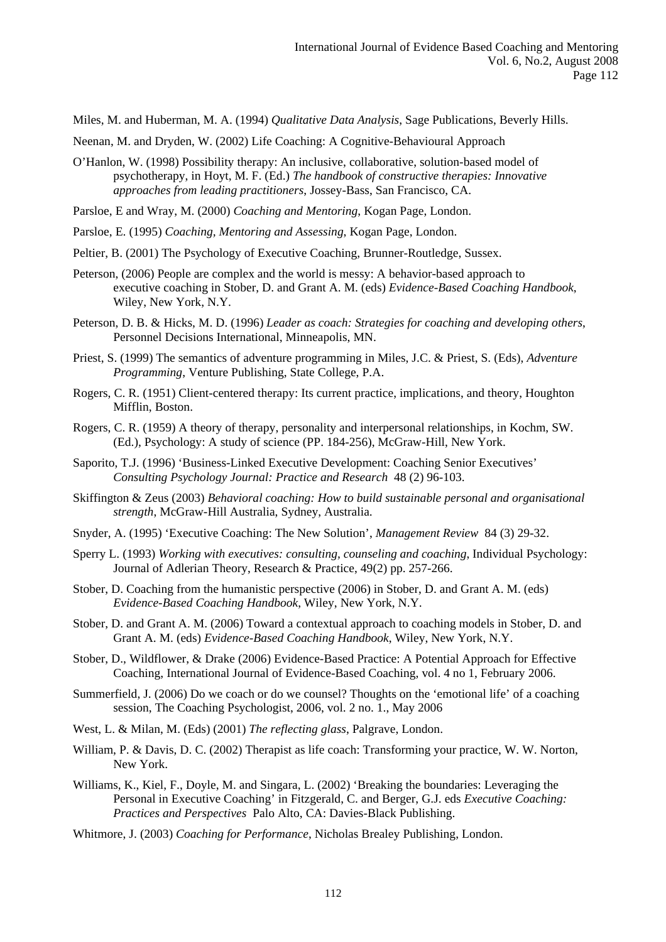Miles, M. and Huberman, M. A. (1994) *Qualitative Data Analysis*, Sage Publications, Beverly Hills.

Neenan, M. and Dryden, W. (2002) Life Coaching: A Cognitive-Behavioural Approach

O'Hanlon, W. (1998) Possibility therapy: An inclusive, collaborative, solution-based model of psychotherapy, in Hoyt, M. F. (Ed.) *The handbook of constructive therapies: Innovative approaches from leading practitioners*, Jossey-Bass, San Francisco, CA.

Parsloe, E and Wray, M. (2000) *Coaching and Mentoring*, Kogan Page, London.

Parsloe, E. (1995) *Coaching, Mentoring and Assessing*, Kogan Page, London.

Peltier, B. (2001) The Psychology of Executive Coaching, Brunner-Routledge, Sussex.

- Peterson, (2006) People are complex and the world is messy: A behavior-based approach to executive coaching in Stober, D. and Grant A. M. (eds) *Evidence-Based Coaching Handbook*, Wiley, New York, N.Y.
- Peterson, D. B. & Hicks, M. D. (1996) *Leader as coach: Strategies for coaching and developing others*, Personnel Decisions International, Minneapolis, MN.
- Priest, S. (1999) The semantics of adventure programming in Miles, J.C. & Priest, S. (Eds), *Adventure Programming*, Venture Publishing, State College, P.A.
- Rogers, C. R. (1951) Client-centered therapy: Its current practice, implications, and theory, Houghton Mifflin, Boston.
- Rogers, C. R. (1959) A theory of therapy, personality and interpersonal relationships, in Kochm, SW. (Ed.), Psychology: A study of science (PP. 184-256), McGraw-Hill, New York.
- Saporito, T.J. (1996) 'Business-Linked Executive Development: Coaching Senior Executives' *Consulting Psychology Journal: Practice and Research* 48 (2) 96-103.
- Skiffington & Zeus (2003) *Behavioral coaching: How to build sustainable personal and organisational strength*, McGraw-Hill Australia, Sydney, Australia.
- Snyder, A. (1995) 'Executive Coaching: The New Solution', *Management Review* 84 (3) 29-32.
- Sperry L. (1993) *Working with executives: consulting, counseling and coaching*, Individual Psychology: Journal of Adlerian Theory, Research & Practice, 49(2) pp. 257-266.
- Stober, D. Coaching from the humanistic perspective (2006) in Stober, D. and Grant A. M. (eds) *Evidence-Based Coaching Handbook*, Wiley, New York, N.Y.
- Stober, D. and Grant A. M. (2006) Toward a contextual approach to coaching models in Stober, D. and Grant A. M. (eds) *Evidence-Based Coaching Handbook*, Wiley, New York, N.Y.
- Stober, D., Wildflower, & Drake (2006) Evidence-Based Practice: A Potential Approach for Effective Coaching, International Journal of Evidence-Based Coaching, vol. 4 no 1, February 2006.
- Summerfield, J. (2006) Do we coach or do we counsel? Thoughts on the 'emotional life' of a coaching session, The Coaching Psychologist, 2006, vol. 2 no. 1., May 2006
- West, L. & Milan, M. (Eds) (2001) *The reflecting glass*, Palgrave, London.
- William, P. & Davis, D. C. (2002) Therapist as life coach: Transforming your practice, W. W. Norton, New York.
- Williams, K., Kiel, F., Doyle, M. and Singara, L. (2002) 'Breaking the boundaries: Leveraging the Personal in Executive Coaching' in Fitzgerald, C. and Berger, G.J. eds *Executive Coaching: Practices and Perspectives* Palo Alto, CA: Davies-Black Publishing.
- Whitmore, J. (2003) *Coaching for Performance*, Nicholas Brealey Publishing, London.